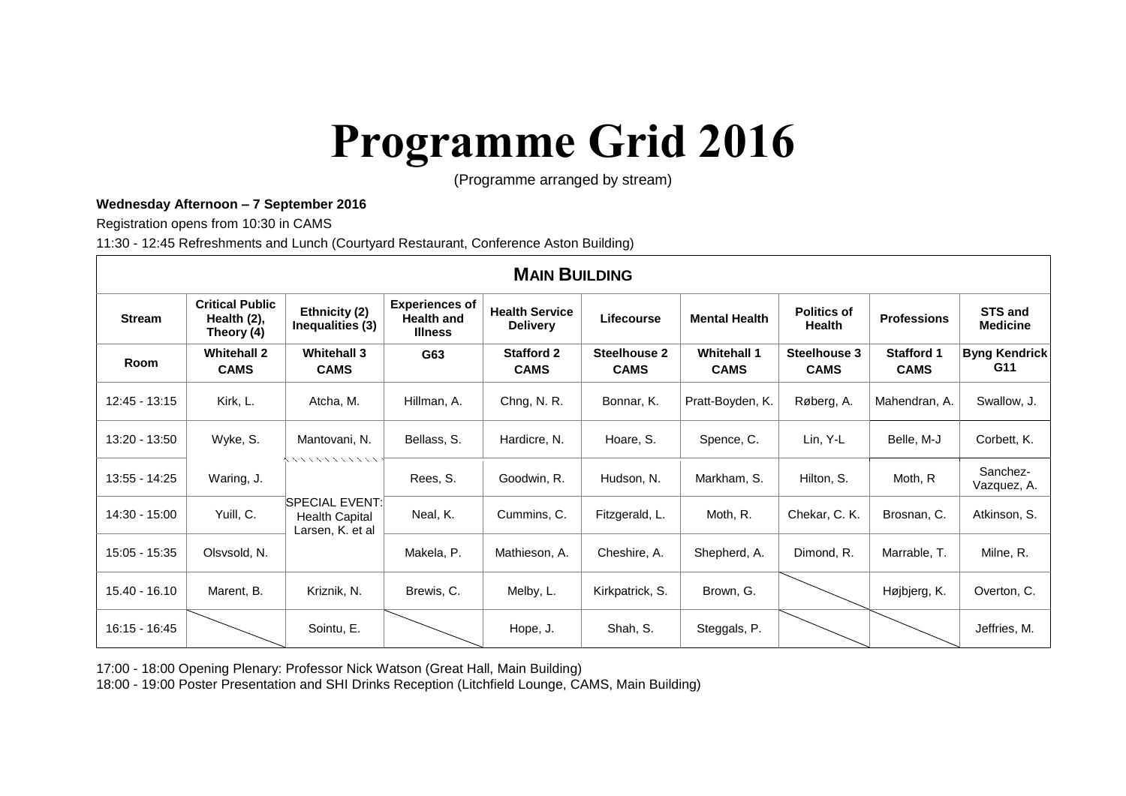## **Programme Grid 2016**

(Programme arranged by stream)

## **Wednesday Afternoon – 7 September 2016**

Registration opens from 10:30 in CAMS

11:30 - 12:45 Refreshments and Lunch (Courtyard Restaurant, Conference Aston Building)

| <b>MAIN BUILDING</b> |                                                     |                                                                    |                                                              |                                          |                             |                                   |                                     |                                  |                                   |  |
|----------------------|-----------------------------------------------------|--------------------------------------------------------------------|--------------------------------------------------------------|------------------------------------------|-----------------------------|-----------------------------------|-------------------------------------|----------------------------------|-----------------------------------|--|
| <b>Stream</b>        | <b>Critical Public</b><br>Health (2),<br>Theory (4) | Ethnicity (2)<br>Inequalities (3)                                  | <b>Experiences of</b><br><b>Health and</b><br><b>Illness</b> | <b>Health Service</b><br><b>Delivery</b> | Lifecourse                  | <b>Mental Health</b>              | <b>Politics of</b><br><b>Health</b> | <b>Professions</b>               | <b>STS and</b><br><b>Medicine</b> |  |
| <b>Room</b>          | <b>Whitehall 2</b><br><b>CAMS</b>                   | <b>Whitehall 3</b><br><b>CAMS</b>                                  | G63                                                          | <b>Stafford 2</b><br><b>CAMS</b>         | Steelhouse 2<br><b>CAMS</b> | <b>Whitehall 1</b><br><b>CAMS</b> | Steelhouse 3<br><b>CAMS</b>         | <b>Stafford 1</b><br><b>CAMS</b> | <b>Byng Kendrick</b><br>G11       |  |
| $12:45 - 13:15$      | Kirk, L.                                            | Atcha, M.                                                          | Hillman, A.                                                  | Chng, N.R.                               | Bonnar, K.                  | Pratt-Boyden, K.                  | Røberg, A.                          | Mahendran, A.                    | Swallow, J.                       |  |
| 13:20 - 13:50        | Wyke, S.                                            | Mantovani, N.<br>ハンス・マンス アンマン                                      | Bellass, S.                                                  | Hardicre, N.                             | Hoare, S.                   | Spence, C.                        | Lin, Y-L                            | Belle, M-J                       | Corbett, K.                       |  |
| 13:55 - 14:25        | Waring, J.                                          |                                                                    | Rees, S.                                                     | Goodwin, R.                              | Hudson, N.                  | Markham, S.                       | Hilton, S.                          | Moth, R                          | Sanchez-<br>Vazquez, A.           |  |
| 14:30 - 15:00        | Yuill, C.                                           | <b>SPECIAL EVENT:</b><br><b>Health Capital</b><br>Larsen, K. et al | Neal, K.                                                     | Cummins, C.                              | Fitzgerald, L.              | Moth, R.                          | Chekar, C. K.                       | Brosnan, C.                      | Atkinson, S.                      |  |
| 15:05 - 15:35        | Olsvsold, N.                                        |                                                                    | Makela, P.                                                   | Mathieson, A.                            | Cheshire, A.                | Shepherd, A.                      | Dimond, R.                          | Marrable, T.                     | Milne, R.                         |  |
| 15.40 - 16.10        | Marent, B.                                          | Kriznik, N.                                                        | Brewis, C.                                                   | Melby, L.                                | Kirkpatrick, S.             | Brown, G.                         |                                     | Højbjerg, K.                     | Overton, C.                       |  |
| 16:15 - 16:45        |                                                     | Sointu, E.                                                         |                                                              | Hope, J.                                 | Shah, S.                    | Steggals, P.                      |                                     |                                  | Jeffries, M.                      |  |

17:00 - 18:00 Opening Plenary: Professor Nick Watson (Great Hall, Main Building)

18:00 - 19:00 Poster Presentation and SHI Drinks Reception (Litchfield Lounge, CAMS, Main Building)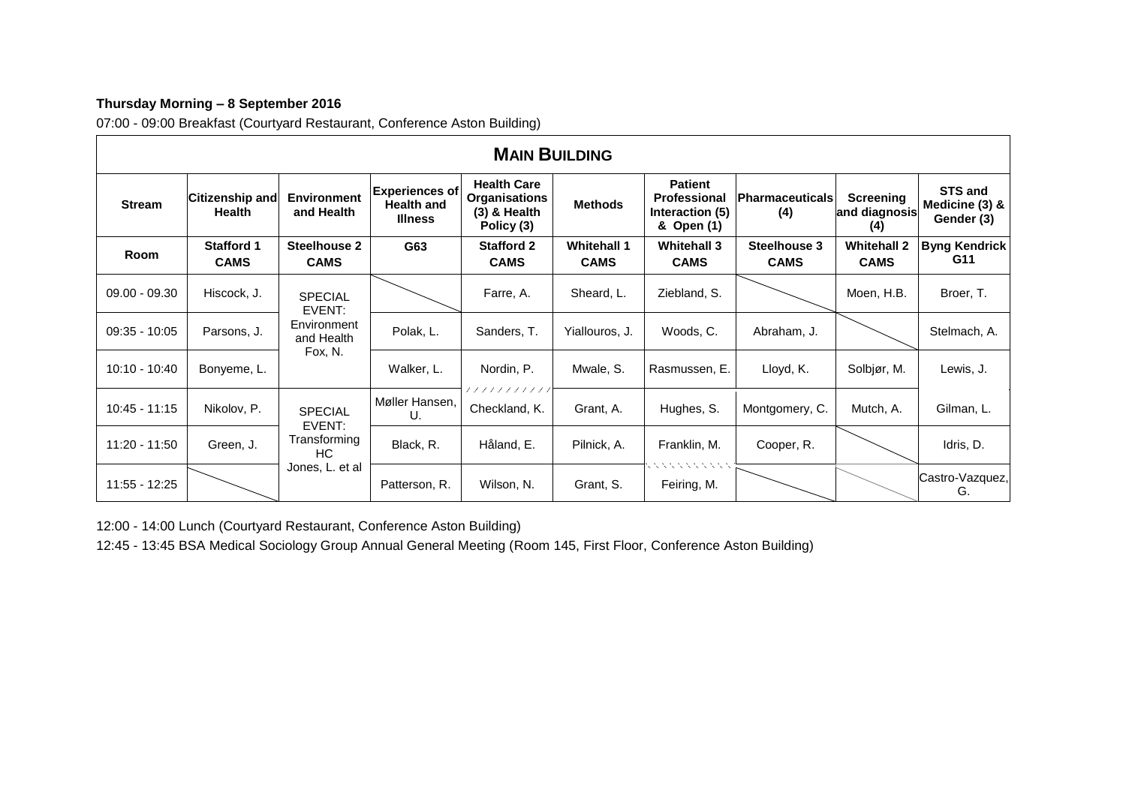## **Thursday Morning – 8 September 2016**

07:00 - 09:00 Breakfast (Courtyard Restaurant, Conference Aston Building)

| <b>MAIN BUILDING</b> |                                         |                                  |                                                              |                                                                            |                                   |                                                                 |                               |                                          |                                         |  |
|----------------------|-----------------------------------------|----------------------------------|--------------------------------------------------------------|----------------------------------------------------------------------------|-----------------------------------|-----------------------------------------------------------------|-------------------------------|------------------------------------------|-----------------------------------------|--|
| <b>Stream</b>        | <b>Citizenship and</b><br><b>Health</b> | <b>Environment</b><br>and Health | <b>Experiences of</b><br><b>Health and</b><br><b>Illness</b> | <b>Health Care</b><br><b>Organisations</b><br>$(3)$ & Health<br>Policy (3) | <b>Methods</b>                    | <b>Patient</b><br>Professional<br>Interaction (5)<br>& Open (1) | <b>Pharmaceuticals</b><br>(4) | <b>Screening</b><br>and diagnosis<br>(4) | STS and<br>Medicine (3) &<br>Gender (3) |  |
| Room                 | <b>Stafford 1</b><br><b>CAMS</b>        | Steelhouse 2<br><b>CAMS</b>      | G63                                                          | <b>Stafford 2</b><br><b>CAMS</b>                                           | <b>Whitehall 1</b><br><b>CAMS</b> | <b>Whitehall 3</b><br><b>CAMS</b>                               | Steelhouse 3<br><b>CAMS</b>   | <b>Whitehall 2</b><br><b>CAMS</b>        | <b>Byng Kendrick</b><br>G11             |  |
|                      |                                         |                                  |                                                              |                                                                            |                                   |                                                                 |                               |                                          |                                         |  |
| 09.00 - 09.30        | Hiscock, J.                             | <b>SPECIAL</b><br>EVENT:         |                                                              | Farre, A.                                                                  | Sheard, L.                        | Ziebland, S.                                                    |                               | Moen, H.B.                               | Broer, T.                               |  |
| $09:35 - 10:05$      | Parsons, J.                             | Environment<br>and Health        | Polak, L.                                                    | Sanders, T.                                                                | Yiallouros, J.                    | Woods, C.                                                       | Abraham, J.                   |                                          | Stelmach, A.                            |  |
| $10:10 - 10:40$      | Bonyeme, L.                             | Fox, N.                          | Walker, L.                                                   | Nordin, P.                                                                 | Mwale, S.                         | Rasmussen, E.                                                   | Lloyd, K.                     | Solbjør, M.                              | Lewis, J.                               |  |
| $10:45 - 11:15$      | Nikolov, P.                             | <b>SPECIAL</b>                   | Møller Hansen,<br>U.                                         | Checkland, K.                                                              | Grant, A.                         | Hughes, S.                                                      | Montgomery, C.                | Mutch, A.                                | Gilman, L.                              |  |
| 11:20 - 11:50        | Green, J.                               | EVENT:<br>Transforming<br>HC.    | Black, R.                                                    | Håland, E.                                                                 | Pilnick, A.                       | Franklin, M.                                                    | Cooper, R.                    |                                          | Idris, D.                               |  |
| $11:55 - 12:25$      |                                         | Jones, L. et al                  | Patterson, R.                                                | Wilson, N.                                                                 | Grant, S.                         | こくさい しんしんしん<br>Feiring, M.                                      |                               |                                          | Castro-Vazquez,<br>G.                   |  |

12:00 - 14:00 Lunch (Courtyard Restaurant, Conference Aston Building)

12:45 - 13:45 BSA Medical Sociology Group Annual General Meeting (Room 145, First Floor, Conference Aston Building)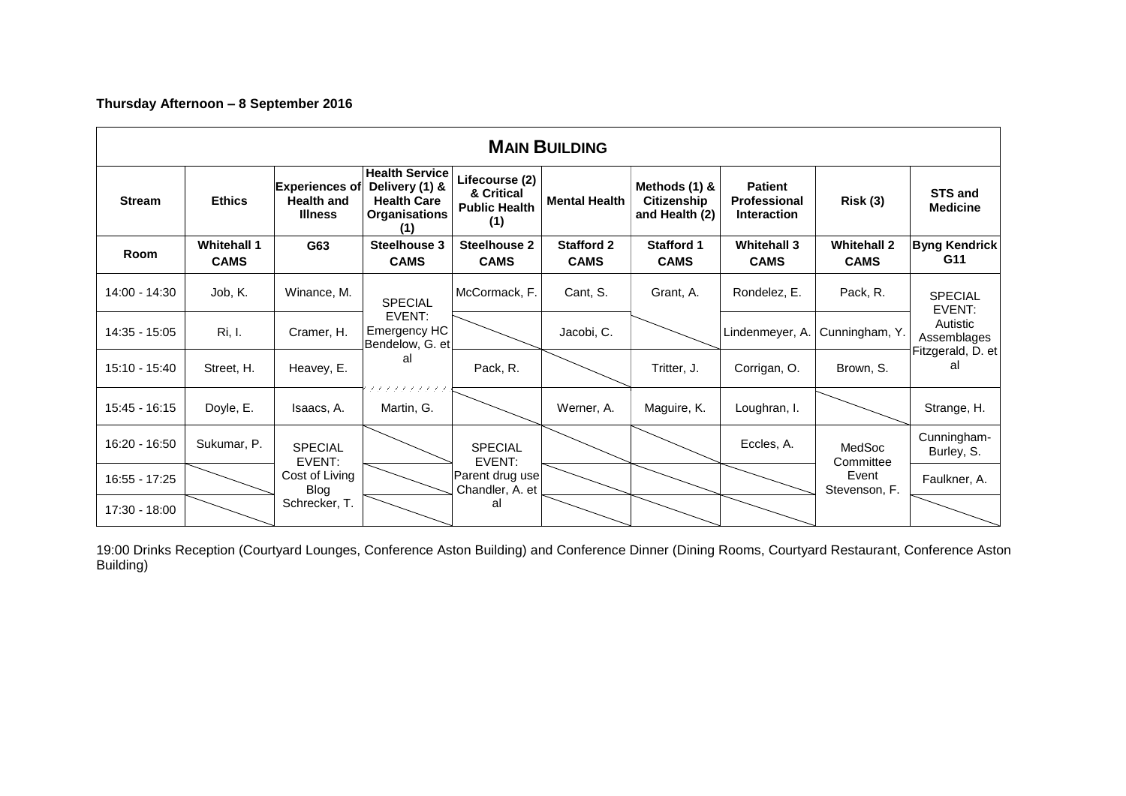**Thursday Afternoon – 8 September 2016**

| <b>MAIN BUILDING</b> |                                   |                                                              |                                                                                              |                                                             |                                  |                                                |                                                             |                                   |                                                     |  |
|----------------------|-----------------------------------|--------------------------------------------------------------|----------------------------------------------------------------------------------------------|-------------------------------------------------------------|----------------------------------|------------------------------------------------|-------------------------------------------------------------|-----------------------------------|-----------------------------------------------------|--|
| <b>Stream</b>        | <b>Ethics</b>                     | <b>Experiences of</b><br><b>Health and</b><br><b>Illness</b> | <b>Health Service</b><br>Delivery (1) &<br><b>Health Care</b><br><b>Organisations</b><br>(1) | Lifecourse (2)<br>& Critical<br><b>Public Health</b><br>(1) | <b>Mental Health</b>             | Methods (1) &<br>Citizenship<br>and Health (2) | <b>Patient</b><br><b>Professional</b><br><b>Interaction</b> | <b>Risk (3)</b>                   | <b>STS and</b><br><b>Medicine</b>                   |  |
| <b>Room</b>          | <b>Whitehall 1</b><br><b>CAMS</b> | G63                                                          | Steelhouse 3<br><b>CAMS</b>                                                                  | Steelhouse 2<br><b>CAMS</b>                                 | <b>Stafford 2</b><br><b>CAMS</b> | <b>Stafford 1</b><br><b>CAMS</b>               | <b>Whitehall 3</b><br><b>CAMS</b>                           | <b>Whitehall 2</b><br><b>CAMS</b> | <b>Byng Kendrick</b><br>G11                         |  |
| 14:00 - 14:30        | Job, K.                           | Winance, M.                                                  | <b>SPECIAL</b><br>EVENT:<br>Emergency HC<br>Bendelow, G. et<br>al                            | McCormack, F.                                               | Cant, S.                         | Grant, A.                                      | Rondelez, E.                                                | Pack, R.                          | <b>SPECIAL</b><br>EVENT:<br>Autistic<br>Assemblages |  |
| 14:35 - 15:05        | Ri, I.                            | Cramer, H.                                                   |                                                                                              |                                                             | Jacobi, C.                       |                                                | Lindenmeyer, A.                                             | Cunningham, Y.                    |                                                     |  |
| 15:10 - 15:40        | Street, H.                        | Heavey, E.                                                   |                                                                                              | Pack, R.                                                    |                                  | Tritter, J.                                    | Corrigan, O.                                                | Brown, S.                         | Fitzgerald, D. et<br>al                             |  |
| 15:45 - 16:15        | Doyle, E.                         | Isaacs, A.                                                   | Martin, G.                                                                                   |                                                             | Werner, A.                       | Maguire, K.                                    | Loughran, I.                                                |                                   | Strange, H.                                         |  |
| 16:20 - 16:50        | Sukumar, P.                       | <b>SPECIAL</b><br>EVENT:                                     |                                                                                              | <b>SPECIAL</b><br>EVENT:                                    |                                  |                                                | Eccles, A.                                                  | MedSoc<br>Committee               | Cunningham-<br>Burley, S.                           |  |
| 16:55 - 17:25        |                                   | Cost of Living<br>Blog                                       |                                                                                              | Parent drug use<br>Chandler, A. et                          |                                  |                                                |                                                             | Event<br>Stevenson, F.            | Faulkner, A.                                        |  |
| 17:30 - 18:00        |                                   | Schrecker, T.                                                |                                                                                              | al                                                          |                                  |                                                |                                                             |                                   |                                                     |  |

19:00 Drinks Reception (Courtyard Lounges, Conference Aston Building) and Conference Dinner (Dining Rooms, Courtyard Restaurant, Conference Aston Building)